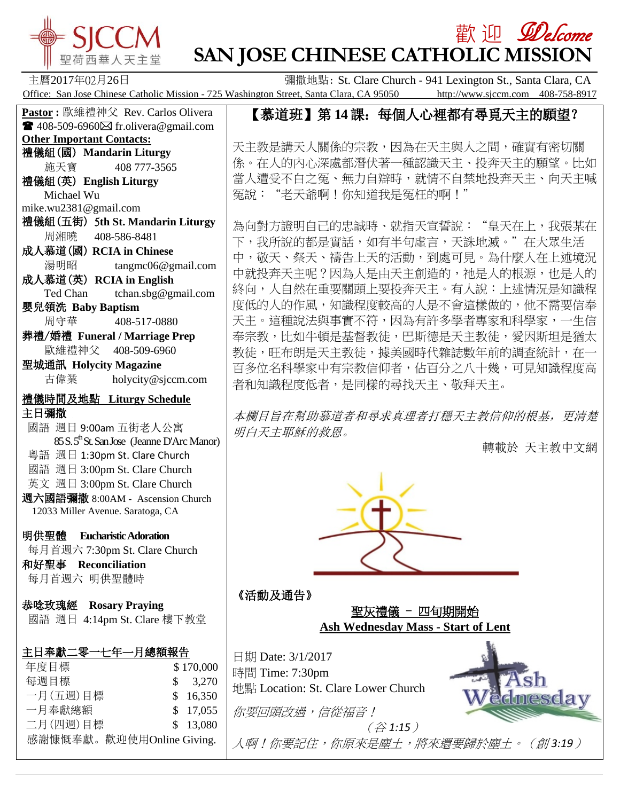

**Other Important Contacts:** 禮儀組(國) **Mandarin Liturgy** 施天寶 408 777-3565

禮儀組(英) **English Liturgy**

 Michael Wu mike.wu2381@gmail.com

**Pastor :** 歐維禮神父 Rev. Carlos Olivera  $\blacksquare$  408-509-6960 $\boxtimes$  fr.olivera@gmail.com

禮儀組(五街) 5**th St. Mandarin Liturgy**

湯明昭 tangmc06@gmail.com

Ted Chan tchan.sbg@gmail.com

古偉業 [holycity@sjccm.com](mailto:holycity@sjccm.com)

 $85 S. 5<sup>th</sup>$ St. San Jose (Jeanne D'Arc Manor)

 周湘曉 408-586-8481 成人慕道(國) **RCIA in Chinese**

成人慕道(英) **RCIA in English**

 周守華 408-517-0880 葬禮/婚禮 **Funeral / Marriage Prep** 歐維禮神父 408-509-6960

禮儀時間及地點 **Liturgy Schedule**

國語 週日 9:00am 五街老人公寓

 粵語 週日 1:30pm St. Clare Church 國語 週日 3:00pm St. Clare Church 英文 週日 3:00pm St. Clare Church 週六國語彌撒 8:00AM - Ascension Church 12033 Miller Avenue. Saratoga, CA

嬰兒領洗 **Baby Baptism**

聖城通訊 **Holycity Magazine**

主日彌撒

# 歡 迎 *见elcome* **SAN JOSE CHINESE CATHOLIC MISSION**

主曆2017年02月26日 彌撒地點: St. Clare Church - 941 Lexington St., Santa Clara, CA Office: San Jose Chinese Catholic Mission - 725 Washington Street, Santa Clara, CA 95050 http://www.sjccm.com 408-758-8917

# 【慕道班】第 **14**課:每個人心裡都有尋覓天主的願望?

天主教是講天人關係的宗教,因為在天主與人之間,確實有密切關 係。在人的內心深處都潛伏著一種認識天主、投奔天主的願望。比如 當人遭受不白之冤、無力自辯時,就情不自禁地投奔天主、向天主喊 冤說:"老天爺啊!你知道我是冤枉的啊!"

為向對方證明自己的忠誠時、就指天宣誓說:"皇天在上,我張某在 下,我所說的都是實話,如有半句虛言,天誅地滅。"在大眾生活 中,敬天、祭天、禱告上天的活動,到處可見。為什麼人在上述境況 中就投奔天主呢?因為人是由天主創造的,祂是人的根源,也是人的 終向,人自然在重要關頭上要投奔天主。有人說:上述情況是知識程 度低的人的作風,知識程度較高的人是不會這樣做的,他不需要信奉 天主。這種說法與事實不符,因為有許多學者專家和科學家,一生信 奉宗教,比如牛頓是基督教徒,巴斯德是天主教徒,愛因斯坦是猶太 教徒,旺布朗是天主教徒,據美國時代雜誌數年前的調查統計,在一 百多位名科學家中有宗教信仰者,佔百分之八十幾,可見知識程度高 者和知識程度低者,是同樣的尋找天主、敬拜天主。

本欄目旨在幫助慕道者和尋求真理者打穩天主教信仰的根基,更清楚 明白天主耶穌的救恩。

轉載於 [天主教中文網](http://mp.weixin.qq.com/s?__biz=MjM5OTM5ODAxMg==&mid=2653787317&idx=5&sn=7d62d49d6e28cb3c65ebe5bf526d076a&chksm=bce52ba68b92a2b0383de80d9130c018a5eba80c3a15c844fa7568127044d86ad8411b8d554b&scene=0%23wechat_redirect)



# 《活動及通告》





人啊!你要記住,你原來是塵土,將來還要歸於塵土。(創 *3:19*)

和好聖事 **Reconciliation** 每月首週六 明供聖體時

每月首週六 7:30pm St. Clare Church

明供聖體 **Eucharistic Adoration**

恭唸玫瑰經 **Rosary Praying** 國語 週日 4:14pm St. Clare 樓下教堂

| 主日奉獻二零一七年一月總額報告 |           |
|-----------------|-----------|
| 年度目標            | \$170,000 |
| 每週目標            | \$ 3.270  |
| 一月(五週)目標        | \$16.350  |

二月(四週)目標 \$ 13,080 感謝慷慨奉獻。歡迎使用Online Giving.

一月奉獻總額 \$ 17,055